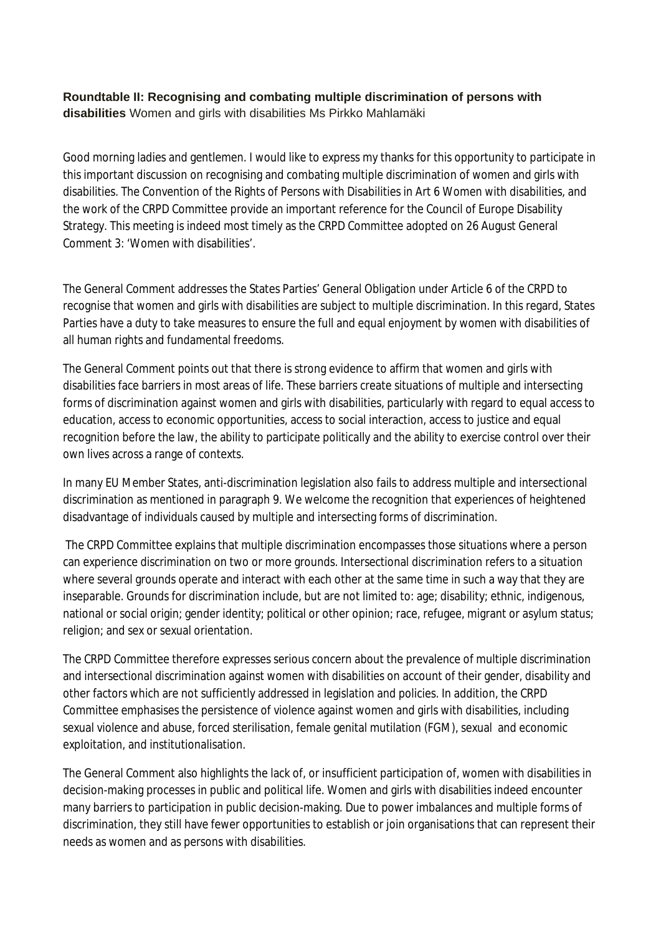## **Roundtable II: Recognising and combating multiple discrimination of persons with disabilities** Women and girls with disabilities Ms Pirkko Mahlamäki

Good morning ladies and gentlemen. I would like to express my thanks for this opportunity to participate in this important discussion on recognising and combating multiple discrimination of women and girls with disabilities. The Convention of the Rights of Persons with Disabilities in Art 6 Women with disabilities, and the work of the CRPD Committee provide an important reference for the Council of Europe Disability Strategy. This meeting is indeed most timely as the CRPD Committee adopted on 26 August General Comment 3: 'Women with disabilities'.

The General Comment addresses the States Parties' General Obligation under Article 6 of the CRPD to recognise that women and girls with disabilities are subject to multiple discrimination. In this regard, States Parties have a duty to take measures to ensure the full and equal enjoyment by women with disabilities of all human rights and fundamental freedoms.

The General Comment points out that there is strong evidence to affirm that women and girls with disabilities face barriers in most areas of life. These barriers create situations of multiple and intersecting forms of discrimination against women and girls with disabilities, particularly with regard to equal access to education, access to economic opportunities, access to social interaction, access to justice and equal recognition before the law, the ability to participate politically and the ability to exercise control over their own lives across a range of contexts.

In many EU Member States, anti-discrimination legislation also fails to address multiple and intersectional discrimination as mentioned in paragraph 9. We welcome the recognition that experiences of heightened disadvantage of individuals caused by multiple and intersecting forms of discrimination.

The CRPD Committee explains that multiple discrimination encompasses those situations where a person can experience discrimination on two or more grounds. Intersectional discrimination refers to a situation where several grounds operate and interact with each other at the same time in such a way that they are inseparable. Grounds for discrimination include, but are not limited to: age; disability; ethnic, indigenous, national or social origin; gender identity; political or other opinion; race, refugee, migrant or asylum status; religion; and sex or sexual orientation.

The CRPD Committee therefore expresses serious concern about the prevalence of multiple discrimination and intersectional discrimination against women with disabilities on account of their gender, disability and other factors which are not sufficiently addressed in legislation and policies. In addition, the CRPD Committee emphasises the persistence of violence against women and girls with disabilities, including sexual violence and abuse, forced sterilisation, female genital mutilation (FGM), sexual and economic exploitation, and institutionalisation.

The General Comment also highlights the lack of, or insufficient participation of, women with disabilities in decision-making processes in public and political life. Women and girls with disabilities indeed encounter many barriers to participation in public decision-making. Due to power imbalances and multiple forms of discrimination, they still have fewer opportunities to establish or join organisations that can represent their needs as women and as persons with disabilities.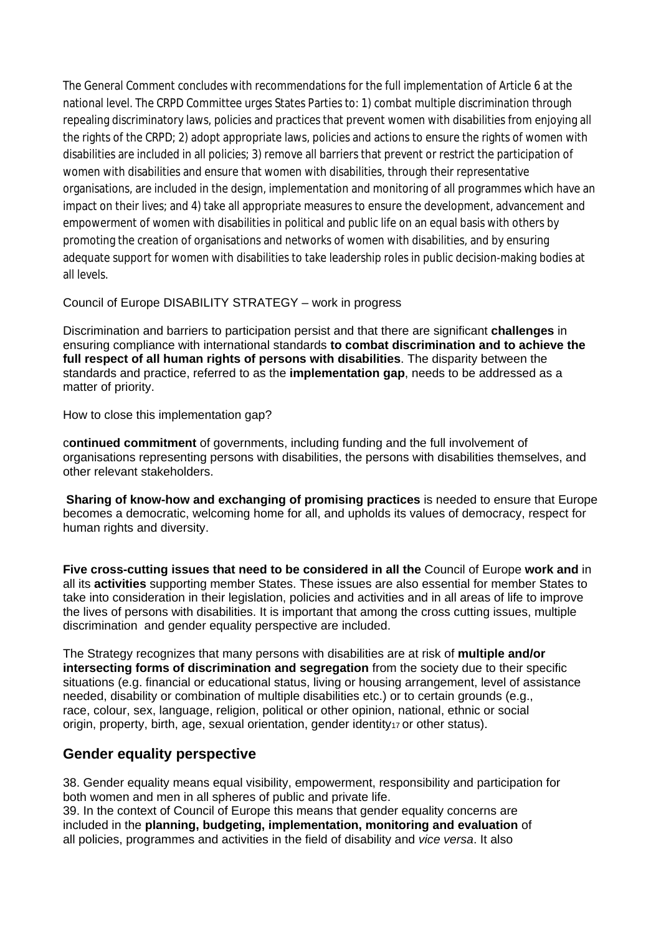The General Comment concludes with recommendations for the full implementation of Article 6 at the national level. The CRPD Committee urges States Parties to: 1) combat multiple discrimination through repealing discriminatory laws, policies and practices that prevent women with disabilities from enjoying all the rights of the CRPD; 2) adopt appropriate laws, policies and actions to ensure the rights of women with disabilities are included in all policies; 3) remove all barriers that prevent or restrict the participation of women with disabilities and ensure that women with disabilities, through their representative organisations, are included in the design, implementation and monitoring of all programmes which have an impact on their lives; and 4) take all appropriate measures to ensure the development, advancement and empowerment of women with disabilities in political and public life on an equal basis with others by promoting the creation of organisations and networks of women with disabilities, and by ensuring adequate support for women with disabilities to take leadership roles in public decision-making bodies at all levels.

Council of Europe DISABILITY STRATEGY – work in progress

Discrimination and barriers to participation persist and that there are significant **challenges** in ensuring compliance with international standards **to combat discrimination and to achieve the full respect of all human rights of persons with disabilities**. The disparity between the standards and practice, referred to as the **implementation gap**, needs to be addressed as a matter of priority.

How to close this implementation gap?

c**ontinued commitment** of governments, including funding and the full involvement of organisations representing persons with disabilities, the persons with disabilities themselves, and other relevant stakeholders.

**Sharing of know-how and exchanging of promising practices** is needed to ensure that Europe becomes a democratic, welcoming home for all, and upholds its values of democracy, respect for human rights and diversity.

**Five cross-cutting issues that need to be considered in all the** Council of Europe **work and** in all its **activities** supporting member States. These issues are also essential for member States to take into consideration in their legislation, policies and activities and in all areas of life to improve the lives of persons with disabilities. It is important that among the cross cutting issues, multiple discrimination and gender equality perspective are included.

The Strategy recognizes that many persons with disabilities are at risk of **multiple and/or intersecting forms of discrimination and segregation** from the society due to their specific situations (e.g. financial or educational status, living or housing arrangement, level of assistance needed, disability or combination of multiple disabilities etc.) or to certain grounds (e.g., race, colour, sex, language, religion, political or other opinion, national, ethnic or social origin, property, birth, age, sexual orientation, gender identity<sup>17</sup> or other status).

## **Gender equality perspective**

38. Gender equality means equal visibility, empowerment, responsibility and participation for both women and men in all spheres of public and private life. 39. In the context of Council of Europe this means that gender equality concerns are

included in the **planning, budgeting, implementation, monitoring and evaluation** of all policies, programmes and activities in the field of disability and *vice versa*. It also